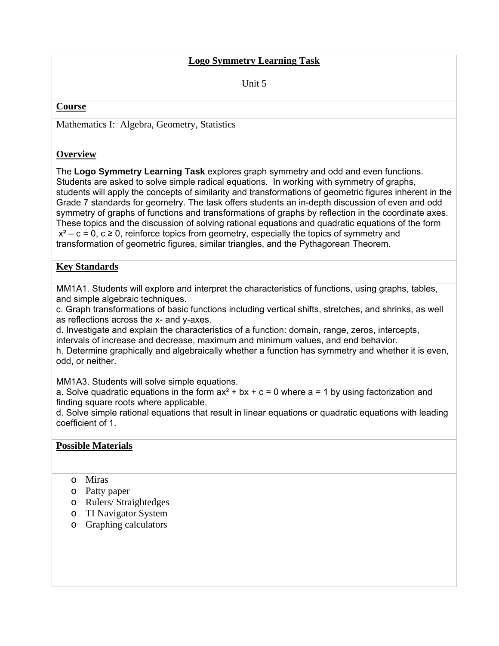### **Logo Symmetry Learning Task**

Unit 5

#### **Course**

Mathematics I: Algebra, Geometry, Statistics

#### **Overview**

The **Logo Symmetry Learning Task** explores graph symmetry and odd and even functions. Students are asked to solve simple radical equations. In working with symmetry of graphs, students will apply the concepts of similarity and transformations of geometric figures inherent in the Grade 7 standards for geometry. The task offers students an in-depth discussion of even and odd symmetry of graphs of functions and transformations of graphs by reflection in the coordinate axes. These topics and the discussion of solving rational equations and quadratic equations of the form  $x^2$  – c = 0, c  $\geq$  0, reinforce topics from geometry, especially the topics of symmetry and transformation of geometric figures, similar triangles, and the Pythagorean Theorem.

### **Key Standards**

MM1A1. Students will explore and interpret the characteristics of functions, using graphs, tables, and simple algebraic techniques.

c. Graph transformations of basic functions including vertical shifts, stretches, and shrinks, as well as reflections across the x- and y-axes.

d. Investigate and explain the characteristics of a function: domain, range, zeros, intercepts, intervals of increase and decrease, maximum and minimum values, and end behavior.

h. Determine graphically and algebraically whether a function has symmetry and whether it is even, odd, or neither.

MM1A3. Students will solve simple equations.

a. Solve quadratic equations in the form  $ax^2 + bx + c = 0$  where  $a = 1$  by using factorization and finding square roots where applicable.

d. Solve simple rational equations that result in linear equations or quadratic equations with leading coefficient of 1.

### **Possible Materials**

- o Miras
- o Patty paper
- o Rulers/ Straightedges
- o TI Navigator System
- o Graphing calculators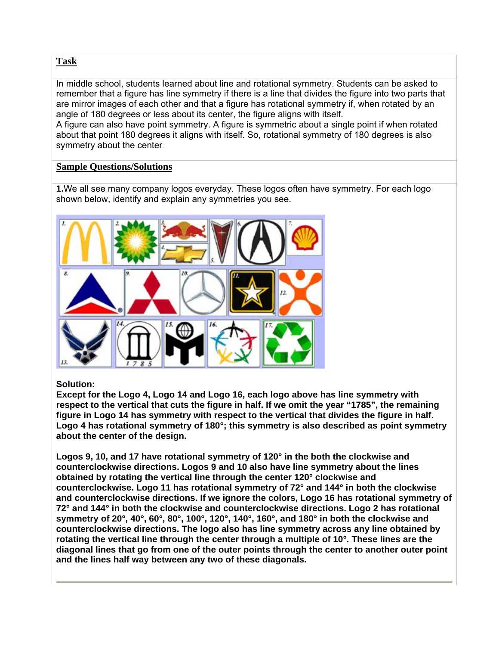### **Task**

In middle school, students learned about line and rotational symmetry. Students can be asked to remember that a figure has line symmetry if there is a line that divides the figure into two parts that are mirror images of each other and that a figure has rotational symmetry if, when rotated by an angle of 180 degrees or less about its center, the figure aligns with itself.

A figure can also have point symmetry. A figure is symmetric about a single point if when rotated about that point 180 degrees it aligns with itself. So, rotational symmetry of 180 degrees is also symmetry about the center.

### **Sample Questions/Solutions**

**1.**We all see many company logos everyday. These logos often have symmetry. For each logo shown below, identify and explain any symmetries you see.



### **Solution:**

**Except for the Logo 4, Logo 14 and Logo 16, each logo above has line symmetry with respect to the vertical that cuts the figure in half. If we omit the year "1785", the remaining figure in Logo 14 has symmetry with respect to the vertical that divides the figure in half. Logo 4 has rotational symmetry of 180°; this symmetry is also described as point symmetry about the center of the design.** 

**Logos 9, 10, and 17 have rotational symmetry of 120° in the both the clockwise and counterclockwise directions. Logos 9 and 10 also have line symmetry about the lines obtained by rotating the vertical line through the center 120° clockwise and counterclockwise. Logo 11 has rotational symmetry of 72° and 144° in both the clockwise and counterclockwise directions. If we ignore the colors, Logo 16 has rotational symmetry of 72° and 144° in both the clockwise and counterclockwise directions. Logo 2 has rotational symmetry of 20°, 40°, 60°, 80°, 100°, 120°, 140°, 160°, and 180° in both the clockwise and counterclockwise directions. The logo also has line symmetry across any line obtained by rotating the vertical line through the center through a multiple of 10°. These lines are the diagonal lines that go from one of the outer points through the center to another outer point and the lines half way between any two of these diagonals.**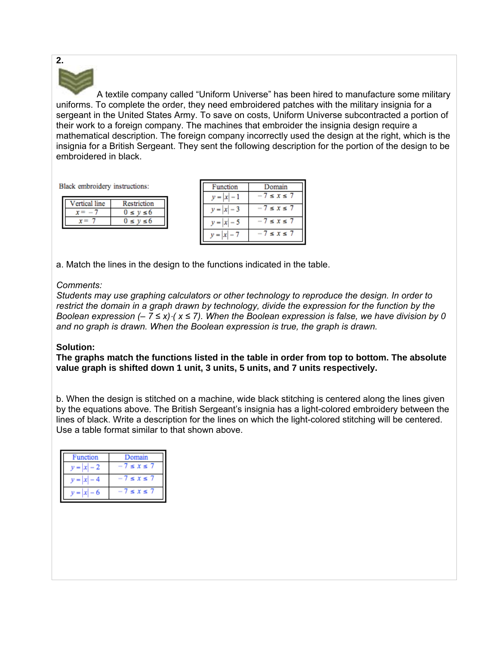

A textile company called "Uniform Universe" has been hired to manufacture some military uniforms. To complete the order, they need embroidered patches with the military insignia for a sergeant in the United States Army. To save on costs, Uniform Universe subcontracted a portion of their work to a foreign company. The machines that embroider the insignia design require a mathematical description. The foreign company incorrectly used the design at the right, which is the insignia for a British Sergeant. They sent the following description for the portion of the design to be embroidered in black.

Black embroidery instructions:

| ertical line | Restriction |
|--------------|-------------|
|              |             |
|              |             |
|              |             |

| Function | Domain            |
|----------|-------------------|
|          | $7 \leq x \leq 7$ |
|          | $7 \le x \le 7$   |
|          | $7 \leq x \leq 7$ |
|          | $7 \le x \le 7$   |

a. Match the lines in the design to the functions indicated in the table.

### *Comments:*

*Students may use graphing calculators or other technology to reproduce the design. In order to*  restrict the domain in a graph drawn by technology, divide the expression for the function by the *Boolean expression (– 7 ≤ x)*  $\cdot$  *( x ≤ 7). When the Boolean expression is false, we have division by 0 and no graph is drawn. When the Boolean expression is true, the graph is drawn.* 

### **Solution:**

**The graphs match the functions listed in the table in order from top to bottom. The absolute value graph is shifted down 1 unit, 3 units, 5 units, and 7 units respectively.** 

b. When the design is stitched on a machine, wide black stitching is centered along the lines given by the equations above. The British Sergeant's insignia has a light-colored embroidery between the lines of black. Write a description for the lines on which the light-colored stitching will be centered. Use a table format similar to that shown above.

| <sup>2</sup> unction | Domain          |
|----------------------|-----------------|
|                      | $\leq$ X $\leq$ |
|                      | $\leq$ X $\leq$ |
|                      | $\leq$ X $\leq$ |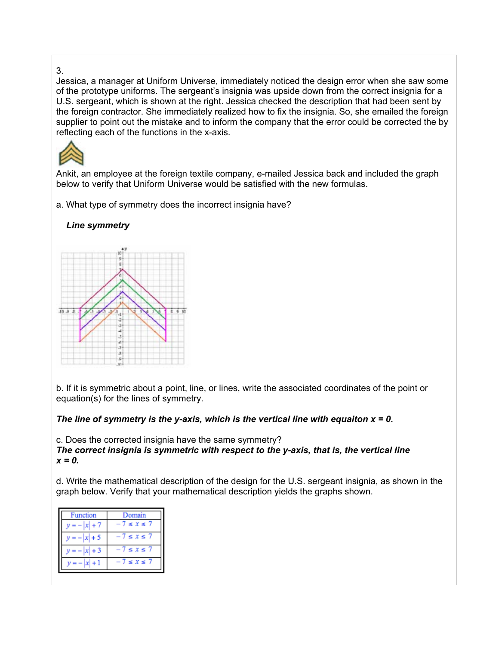#### 3.

Jessica, a manager at Uniform Universe, immediately noticed the design error when she saw some of the prototype uniforms. The sergeant's insignia was upside down from the correct insignia for a U.S. sergeant, which is shown at the right. Jessica checked the description that had been sent by the foreign contractor. She immediately realized how to fix the insignia. So, she emailed the foreign supplier to point out the mistake and to inform the company that the error could be corrected the by reflecting each of the functions in the x-axis.



Ankit, an employee at the foreign textile company, e-mailed Jessica back and included the graph below to verify that Uniform Universe would be satisfied with the new formulas.

a. What type of symmetry does the incorrect insignia have?

# *Line symmetry*



b. If it is symmetric about a point, line, or lines, write the associated coordinates of the point or equation(s) for the lines of symmetry.

### *The line of symmetry is the y-axis, which is the vertical line with equaiton x = 0.*

c. Does the corrected insignia have the same symmetry? *The correct insignia is symmetric with respect to the y-axis, that is, the vertical line x = 0.*

d. Write the mathematical description of the design for the U.S. sergeant insignia, as shown in the graph below. Verify that your mathematical description yields the graphs shown.

| Function    | Domain            |
|-------------|-------------------|
|             | $7 \leq x \leq 7$ |
| $  x   + 5$ | $7 \leq x \leq 1$ |
| + 3         | $7 \leq x \leq 7$ |
|             | $\leq$ $X \leq$   |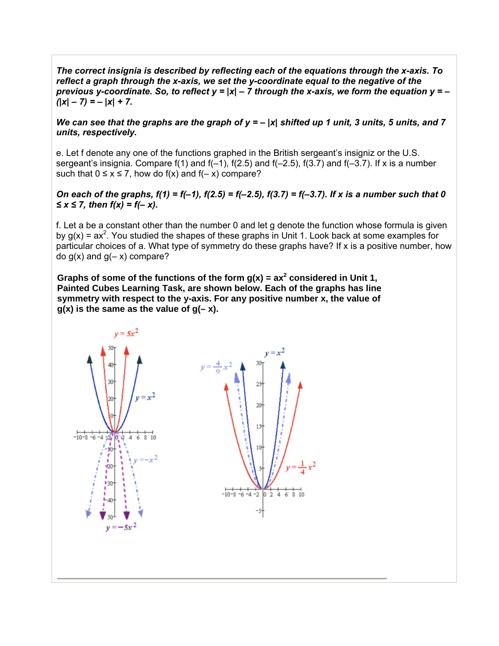*The correct insignia is described by reflecting each of the equations through the x-axis. To reflect a graph through the x-axis, we set the y-coordinate equal to the negative of the previous y-coordinate. So, to reflect y =*  $|x|$  *– 7 through the x-axis, we form the equation y = – (|x| – 7) = – |x| + 7.* 

#### We can see that the graphs are the graph of  $y = - |x|$  shifted up 1 unit, 3 units, 5 units, and 7 *units, respectively.*

e. Let f denote any one of the functions graphed in the British sergeant's insigniz or the U.S. sergeant's insignia. Compare  $f(1)$  and  $f(-1)$ ,  $f(2.5)$  and  $f(-2.5)$ ,  $f(3.7)$  and  $f(-3.7)$ . If x is a number such that  $0 \le x \le 7$ , how do f(x) and f(- x) compare?

#### *On each of the graphs, f(1) = f(–1), f(2.5) = f(–2.5), f(3.7) = f(–3.7). If x is a number such that 0 ≤ x ≤ 7, then f(x) = f(– x).*

f. Let a be a constant other than the number 0 and let g denote the function whose formula is given by  $g(x) = ax^2$ . You studied the shapes of these graphs in Unit 1. Look back at some examples for particular choices of a. What type of symmetry do these graphs have? If x is a positive number, how do  $g(x)$  and  $g(-x)$  compare?

Graphs of some of the functions of the form  $g(x) = ax^2$  considered in Unit 1, **Painted Cubes Learning Task, are shown below. Each of the graphs has line symmetry with respect to the y-axis. For any positive number x, the value of g(x) is the same as the value of g(– x).**

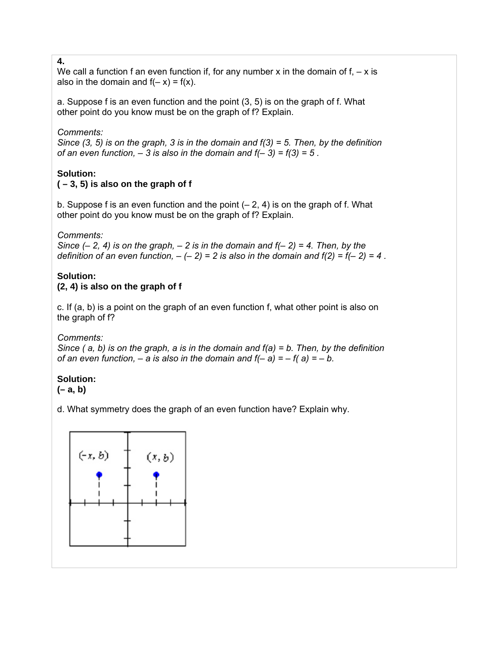#### **4.**

We call a function f an even function if, for any number x in the domain of  $f<sub>1</sub> - x$  is also in the domain and  $f(-x) = f(x)$ .

a. Suppose f is an even function and the point (3, 5) is on the graph of f. What other point do you know must be on the graph of f? Explain.

### *Comments:*

*Since (3, 5) is on the graph, 3 is in the domain and f(3) = 5. Then, by the definition of an even function, – 3 is also in the domain and f(– 3) = f(3) = 5 .* 

# **Solution:**

# **( – 3, 5) is also on the graph of f**

b. Suppose f is an even function and the point  $(-2, 4)$  is on the graph of f. What other point do you know must be on the graph of f? Explain.

*Comments:* 

*Since*  $(-2, 4)$  *is on the graph,*  $-2$  *is in the domain and f* $(-2) = 4$ *. Then, by the definition of an even function,*  $-(-2) = 2$  *is also in the domain and f(2) = f(-2) = 4.* 

# **Solution:**

### **(2, 4) is also on the graph of f**

c. If (a, b) is a point on the graph of an even function f, what other point is also on the graph of f?

*Comments:* 

*Since ( a, b) is on the graph, a is in the domain and f(a) = b. Then, by the definition of an even function, – a is also in the domain and*  $f(-a) = -f(a) = -b$ *.* 

# **Solution:**

**(– a, b)** 

d. What symmetry does the graph of an even function have? Explain why.

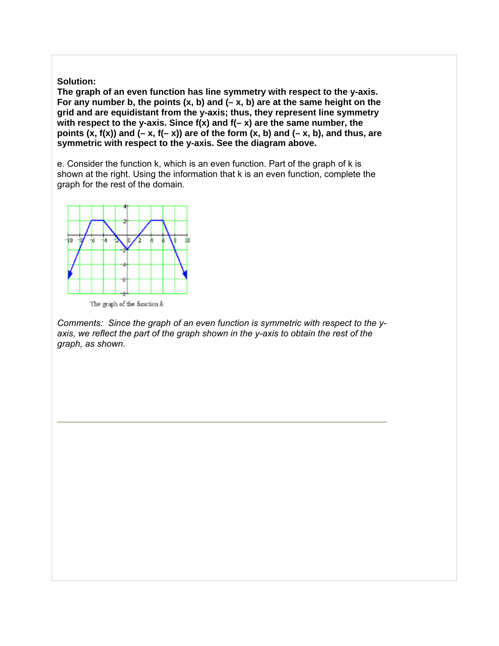**Solution:** 

**The graph of an even function has line symmetry with respect to the y-axis. For any number b, the points (x, b) and (– x, b) are at the same height on the grid and are equidistant from the y-axis; thus, they represent line symmetry with respect to the y-axis. Since f(x) and f(– x) are the same number, the**  points  $(x, f(x))$  and  $(-x, f(-x))$  are of the form  $(x, b)$  and  $(-x, b)$ , and thus, are **symmetric with respect to the y-axis. See the diagram above.** 

e. Consider the function k, which is an even function. Part of the graph of k is shown at the right. Using the information that k is an even function, complete the graph for the rest of the domain.



The graph of the function  $k$ 

*Comments: Since the graph of an even function is symmetric with respect to the yaxis, we reflect the part of the graph shown in the y-axis to obtain the rest of the graph, as shown.*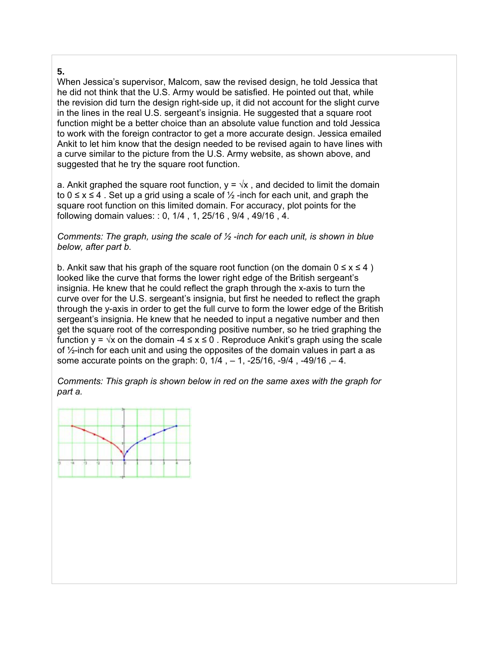### **5.**

When Jessica's supervisor, Malcom, saw the revised design, he told Jessica that he did not think that the U.S. Army would be satisfied. He pointed out that, while the revision did turn the design right-side up, it did not account for the slight curve in the lines in the real U.S. sergeant's insignia. He suggested that a square root function might be a better choice than an absolute value function and told Jessica to work with the foreign contractor to get a more accurate design. Jessica emailed Ankit to let him know that the design needed to be revised again to have lines with a curve similar to the picture from the U.S. Army website, as shown above, and suggested that he try the square root function.

a. Ankit graphed the square root function,  $y = \sqrt{x}$ , and decided to limit the domain to  $0 \le x \le 4$ . Set up a grid using a scale of  $\frac{1}{2}$ -inch for each unit, and graph the square root function on this limited domain. For accuracy, plot points for the following domain values: : 0, 1/4 , 1, 25/16 , 9/4 , 49/16 , 4.

*Comments: The graph, using the scale of ½ -inch for each unit, is shown in blue below, after part b.* 

b. Ankit saw that his graph of the square root function (on the domain  $0 \le x \le 4$ ) looked like the curve that forms the lower right edge of the British sergeant's insignia. He knew that he could reflect the graph through the x-axis to turn the curve over for the U.S. sergeant's insignia, but first he needed to reflect the graph through the y-axis in order to get the full curve to form the lower edge of the British sergeant's insignia. He knew that he needed to input a negative number and then get the square root of the corresponding positive number, so he tried graphing the function  $y = \sqrt{x}$  on the domain -4  $\le x \le 0$ . Reproduce Ankit's graph using the scale of ½-inch for each unit and using the opposites of the domain values in part a as some accurate points on the graph: 0, 1/4 , – 1, -25/16, -9/4 , -49/16 ,– 4.

*Comments: This graph is shown below in red on the same axes with the graph for part a.* 

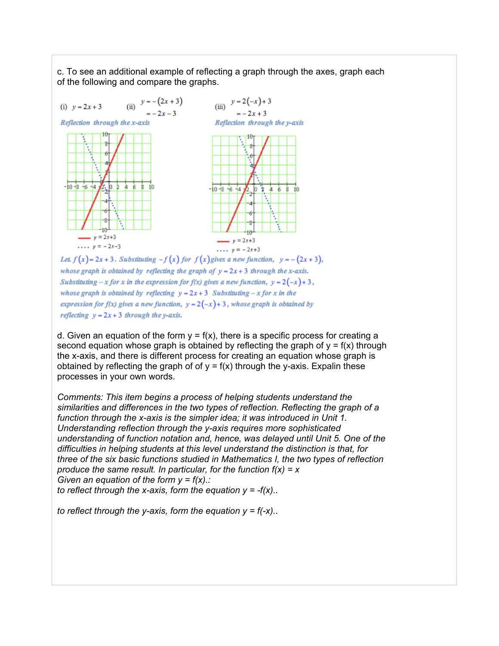c. To see an additional example of reflecting a graph through the axes, graph each of the following and compare the graphs.



whose graph is obtained by reflecting the graph of  $y = 2x + 3$  through the x-axis. Substituting  $-x$  for x in the expression for  $f(x)$  gives a new function,  $y = 2(-x) + 3$ , whose graph is obtained by reflecting  $y = 2x + 3$  Substituting  $-x$  for x in the expression for  $f(x)$  gives a new function,  $y = 2(-x) + 3$ , whose graph is obtained by reflecting  $y = 2x + 3$  through the y-axis.

d. Given an equation of the form  $y = f(x)$ , there is a specific process for creating a second equation whose graph is obtained by reflecting the graph of  $y = f(x)$  through the x-axis, and there is different process for creating an equation whose graph is obtained by reflecting the graph of of  $y = f(x)$  through the y-axis. Expalin these processes in your own words.

*Comments: This item begins a process of helping students understand the similarities and differences in the two types of reflection. Reflecting the graph of a function through the x-axis is the simpler idea; it was introduced in Unit 1. Understanding reflection through the y-axis requires more sophisticated understanding of function notation and, hence, was delayed until Unit 5. One of the difficulties in helping students at this level understand the distinction is that, for three of the six basic functions studied in Mathematics I, the two types of reflection produce the same result. In particular, for the function f(x) = x Given an equation of the form y = f(x).: to reflect through the x-axis, form the equation*  $y = -f(x)$ *..* 

*to reflect through the y-axis, form the equation y = f(-x)..*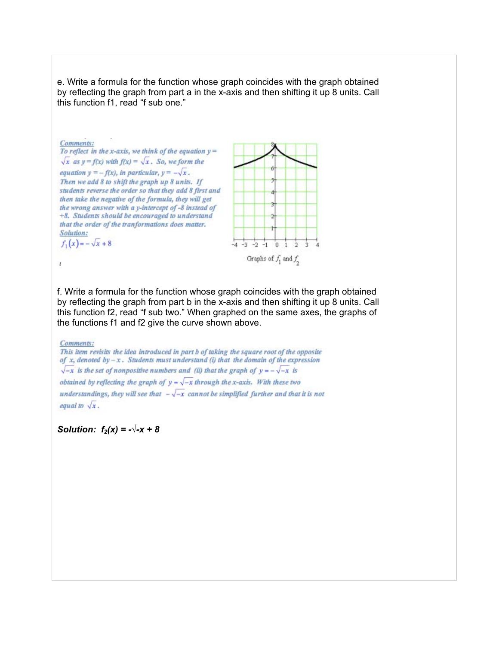e. Write a formula for the function whose graph coincides with the graph obtained by reflecting the graph from part a in the x-axis and then shifting it up 8 units. Call this function f1, read "f sub one."



f. Write a formula for the function whose graph coincides with the graph obtained by reflecting the graph from part b in the x-axis and then shifting it up 8 units. Call this function f2, read "f sub two." When graphed on the same axes, the graphs of the functions f1 and f2 give the curve shown above.

Comments:

This item revisits the idea introduced in part b of taking the square root of the opposite of x, denoted by  $-x$ . Students must understand (i) that the domain of the expression  $\sqrt{-x}$  is the set of nonpositive numbers and (ii) that the graph of  $y = -\sqrt{-x}$  is obtained by reflecting the graph of  $y - \sqrt{-x}$  through the x-axis. With these two understandings, they will see that  $-\sqrt{-x}$  cannot be simplified further and that it is not equal to  $\sqrt{x}$ .

*Solution:*  $f_2(x) = -\sqrt{-x} + 8$